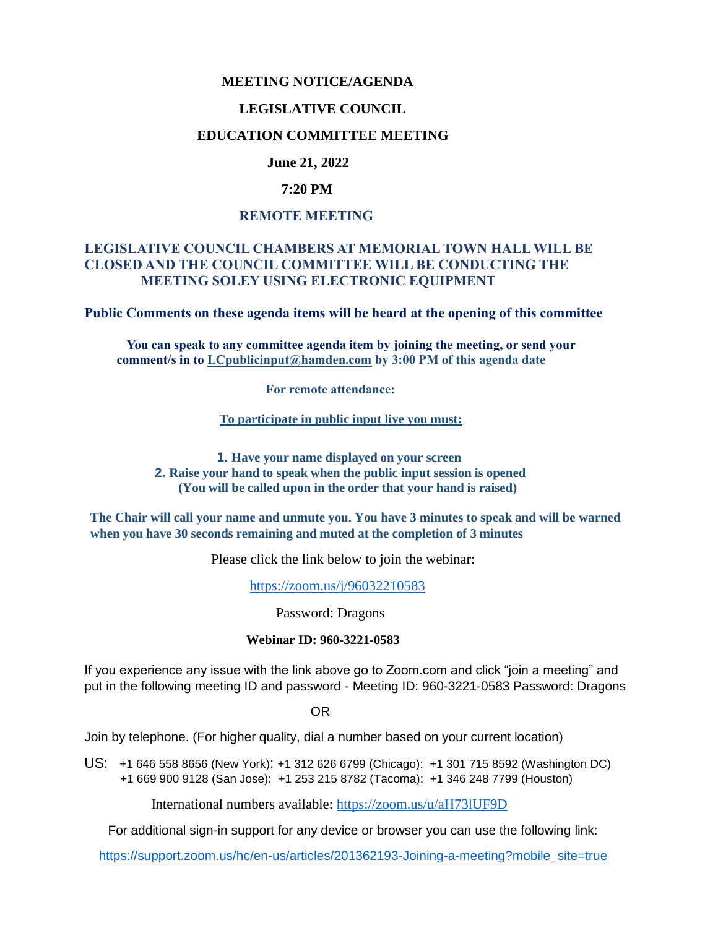## **MEETING NOTICE/AGENDA**

#### **LEGISLATIVE COUNCIL**

## **EDUCATION COMMITTEE MEETING**

## **June 21, 2022**

#### **7:20 PM**

#### **REMOTE MEETING**

## **LEGISLATIVE COUNCIL CHAMBERS AT MEMORIAL TOWN HALL WILL BE CLOSED AND THE COUNCIL COMMITTEE WILL BE CONDUCTING THE MEETING SOLEY USING ELECTRONIC EQUIPMENT**

**Public Comments on these agenda items will be heard at the opening of this committee** 

 **You can speak to any committee agenda item by joining the meeting, or send your comment/s in to [LCpublicinput@hamden.com](mailto:LCpublicinput@hamden.com) by 3:00 PM of this agenda date**

 **For remote attendance:**

**To participate in public input live you must:**

**1. Have your name displayed on your screen 2. Raise your hand to speak when the public input session is opened (You will be called upon in the order that your hand is raised)**

**The Chair will call your name and unmute you. You have 3 minutes to speak and will be warned when you have 30 seconds remaining and muted at the completion of 3 minutes**

Please click the link below to join the webinar:

<https://zoom.us/j/96032210583>

Password: Dragons

#### **Webinar ID: 960-3221-0583**

If you experience any issue with the link above go to Zoom.com and click "join a meeting" and put in the following meeting ID and password - Meeting ID: 960-3221-0583 Password: Dragons

OR

Join by telephone. (For higher quality, dial a number based on your current location)

US: [+1 646 558 8656 \(New York\)](tel:+16465588656): [+1 312 626 6799 \(Chicago\):](tel:+13126266799) [+1 301 715 8592 \(Washington DC\)](tel:+13017158592) +1 669 900 9128 (San Jose): [+1 253 215 8782 \(Tacoma\):](tel:+12532158782) [+1 346 248 7799 \(Houston\)](tel:+13462487799)

International numbers available:<https://zoom.us/u/aH73lUF9D>

For additional sign-in support for any device or browser you can use the following link:

[https://support.zoom.us/hc/en-us/articles/201362193-Joining-a-meeting?mobile\\_site=true](https://support.zoom.us/hc/en-us/articles/201362193-Joining-a-meeting?mobile_site=true)